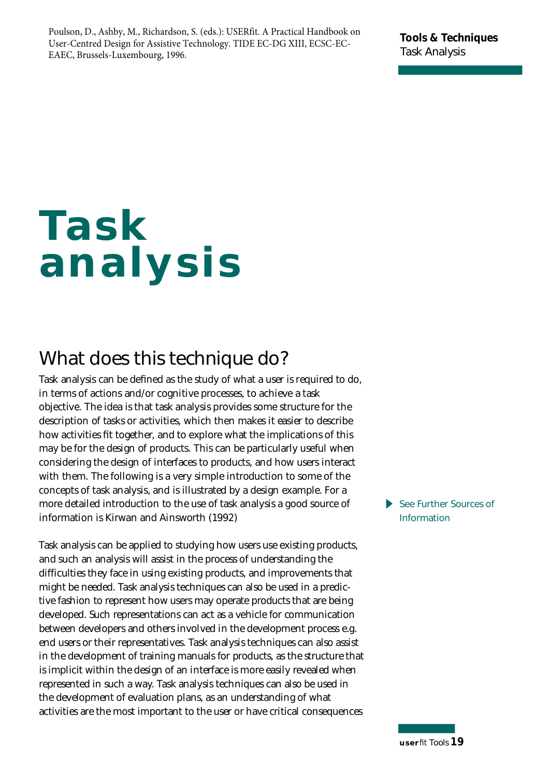Poulson, D., Ashby, M., Richardson, S. (eds.): USERfit. A Practical Handbook on User-Centred Design for Assistive Technology. TIDE EC-DG XIII, ECSC-EC-EAEC, Brussels-Luxembourg, 1996.

**Tools & Techniques Task Analysis**

# **Task analysis**

## **What does this technique do?**

Task analysis can be defined as the study of what a user is required to do, in terms of actions and/or cognitive processes, to achieve a task objective. The idea is that task analysis provides some structure for the description of tasks or activities, which then makes it easier to describe how activities fit together, and to explore what the implications of this may be for the design of products. This can be particularly useful when considering the design of interfaces to products, and how users interact with them. The following is a very simple introduction to some of the concepts of task analysis, and is illustrated by a design example. For a more detailed introduction to the use of task analysis a good source of information is Kirwan and Ainsworth (1992)

Task analysis can be applied to studying how users use existing products, and such an analysis will assist in the process of understanding the difficulties they face in using existing products, and improvements that might be needed. Task analysis techniques can also be used in a predictive fashion to represent how users may operate products that are being developed. Such representations can act as a vehicle for communication between developers and others involved in the development process e.g. end users or their representatives. Task analysis techniques can also assist in the development of training manuals for products, as the structure that is implicit within the design of an interface is more easily revealed when represented in such a way. Task analysis techniques can also be used in the development of evaluation plans, as an understanding of what activities are the most important to the user or have critical consequences

 $\blacktriangleright$ **See Further Sources of Information**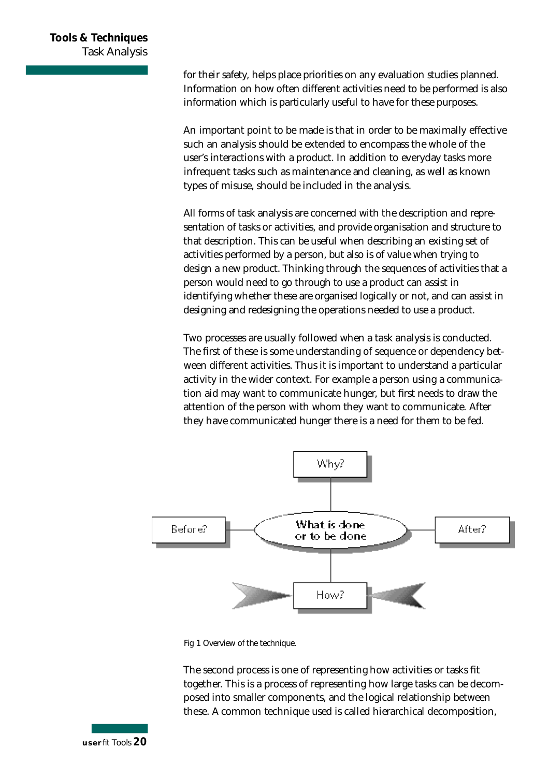for their safety, helps place priorities on any evaluation studies planned. Information on how often different activities need to be performed is also information which is particularly useful to have for these purposes.

An important point to be made is that in order to be maximally effective such an analysis should be extended to encompass the whole of the user's interactions with a product. In addition to everyday tasks more in frequent tasks such as maintenance and cleaning, as well as known types of misuse, should be included in the analysis.

All forms of task analysis are concerned with the description and representation of tasks or activities, and provide organisation and structure to that description. This can be useful when describing an existing set of activities performed by a person, but also is of value when trying to design a new product. Thinking through the sequences of activities that a person would need to go through to use a product can assist in identifying whether these are organised logically or not, and can assist in designing and redesigning the operations needed to use a product.

Two processes are usually followed when a task analysis is conducted. The first of these is some understanding of sequence or dependency between different activities. Thus it is important to understand a particular activity in the wider context. For example a person using a communication aid may want to communicate hunger, but first needs to draw the attention of the person with whom they want to communicate. After they have communicated hunger there is a need for them to be fed.



Fig 1 Overview of the technique.

The second process is one of representing how activities or tasks fit together. This is a process of representing how large tasks can be decomposed into smaller components, and the logical relationship between these. A common technique used is called hierarchical decomposition,

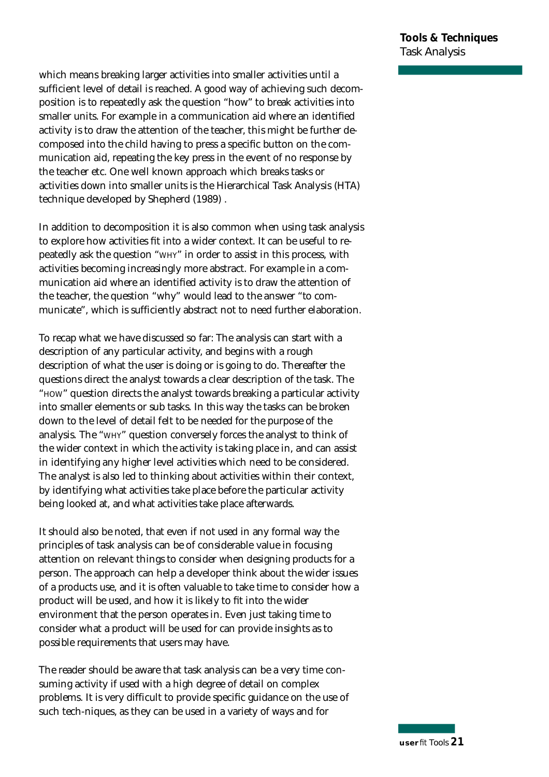which means breaking larger activities into smaller activities until a sufficient level of detail is reached. A good way of achieving such decomposition is to repeatedly ask the question "how" to break activities into smaller units. For example in a communication aid where an identified activity is to draw the attention of the teacher, this might be further decomposed into the child having to press a specific button on the communication aid, repeating the key press in the event of no response by the teacher etc. One well known approach which breaks tasks or activities down into smaller units is the Hierarchical Task Analysis (HTA) technique developed by Shepherd (1989) .

In addition to decomposition it is also common when using task analysis to explore how activities fit into a wider context. It can be useful to re peatedly ask the question "WHY" in order to assist in this process, with activities becoming increasingly more abstract. For example in a communication aid where an identified activity is to draw the attention of the teacher, the question "why" would lead to the answer "to communicate", which is sufficiently abstract not to need further elaboration.

To recap what we have discussed so far: The analysis can start with a description of any particular activity, and begins with a rough description of what the user is doing or is going to do. Thereafter the questions direct the analyst towards a clear description of the task. The "HOW" question directs the analyst towards breaking a particular activity into smaller elements or sub tasks. In this way the tasks can be broken down to the level of detail felt to be needed for the purpose of the analysis. The "WHY" question conversely forces the analyst to think of the wider context in which the activity is taking place in, and can assist in identifying any higher level activities which need to be considered. The analyst is also led to thinking about activities within their context, by identifying what activities take place before the particular activity being looked at, and what activities take place afterwards.

It should also be noted, that even if not used in any formal way the principles of task analysis can be of considerable value in focusing attention on relevant things to consider when designing products for a person. The approach can help a developer think about the wider issues of a products use, and it is often valuable to take time to consider how a p roduct will be used, and how it is likely to fit into the wider environment that the person operates in. Even just taking time to consider what a product will be used for can provide insights as to possible requirements that users may have.

The reader should be aware that task analysis can be a very time consuming activity if used with a high degree of detail on complex p roblems. It is very difficult to provide specific guidance on the use of such tech-niques, as they can be used in a variety of ways and for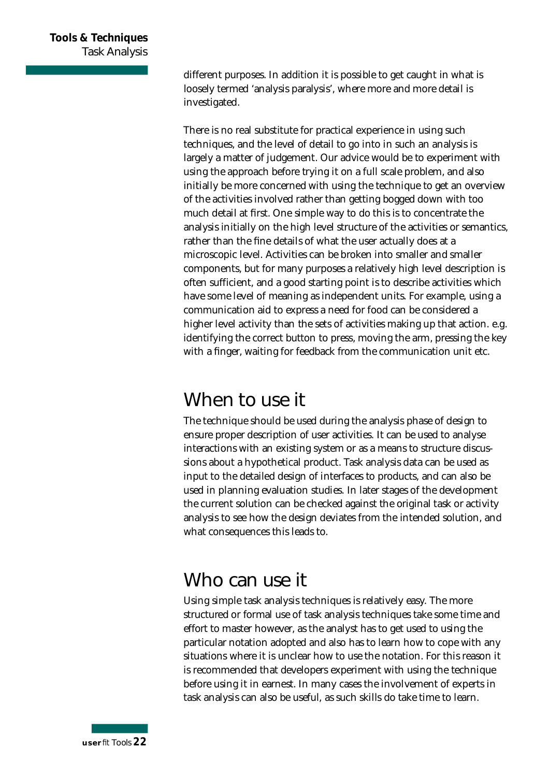different purposes. In addition it is possible to get caught in what is loosely termed 'analysis paralysis', where more and more detail is investigated.

There is no real substitute for practical experience in using such techniques, and the level of detail to go into in such an analysis is largely a matter of judgement. Our advice would be to experiment with using the approach before trying it on a full scale problem, and also initially be more concerned with using the technique to get an overview of the activities involved rather than getting bogged down with too much detail at first. One simple way to do this is to concentrate the analysis initially on the high level structure of the activities or semantics, rather than the fine details of what the user actually does at a microscopic level. Activities can be broken into smaller and smaller components, but for many purposes a relatively high level description is often sufficient, and a good starting point is to describe activities which have some level of meaning as independent units. For example, using a communication aid to express a need for food can be considered a higher level activity than the sets of activities making up that action. e.g. identifying the correct button to press, moving the arm, pressing the key with a finger, waiting for feedback from the communication unit etc.

#### **When to use it**

The technique should be used during the analysis phase of design to en sure proper description of user activities. It can be used to analyse interactions with an existing system or as a means to structure discussions about a hypothetical product. Task analysis data can be used as input to the detailed design of interfaces to products, and can also be used in planning evaluation studies. In later stages of the development the current solution can be checked against the original task or activity analysis to see how the design deviates from the intended solution, and what consequences this leads to.

#### **Who can use it**

Using simple task analysis techniques is relatively easy. The more structured or formal use of task analysis techniques take some time and effort to master however, as the analyst has to get used to using the particular notation adopted and also has to learn how to cope with any situations where it is unclear how to use the notation. For this reason it is recommended that developers experiment with using the technique before using it in earnest. In many cases the involvement of experts in task analysis can also be useful, as such skills do take time to learn .

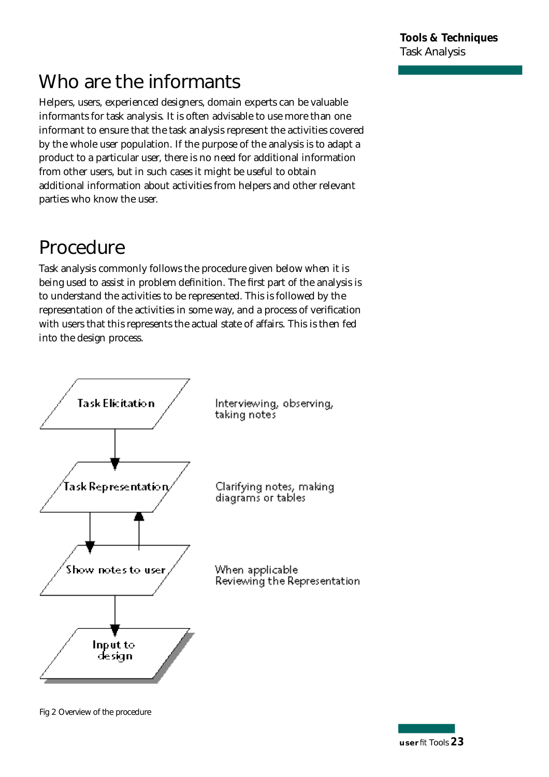## **Who are the informants**

Helpers, users, experienced designers, domain experts can be valuable informants for task analysis. It is often advisable to use more than one informant to ensure that the task analysis represent the activities covered by the whole user population. If the purpose of the analysis is to adapt a product to a particular user, there is no need for additional information from other users, but in such cases it might be useful to obtain additional information about activities from helpers and other relevant parties who know the user.

# **Procedure**

Task analysis commonly follows the procedure given below when it is being used to assist in problem definition. The first part of the analysis is to understand the activities to be represented. This is followed by the representation of the activities in some way, and a process of verification with users that this represents the actual state of affairs. This is then fed into the design process.



Fig 2 Overview of the procedure

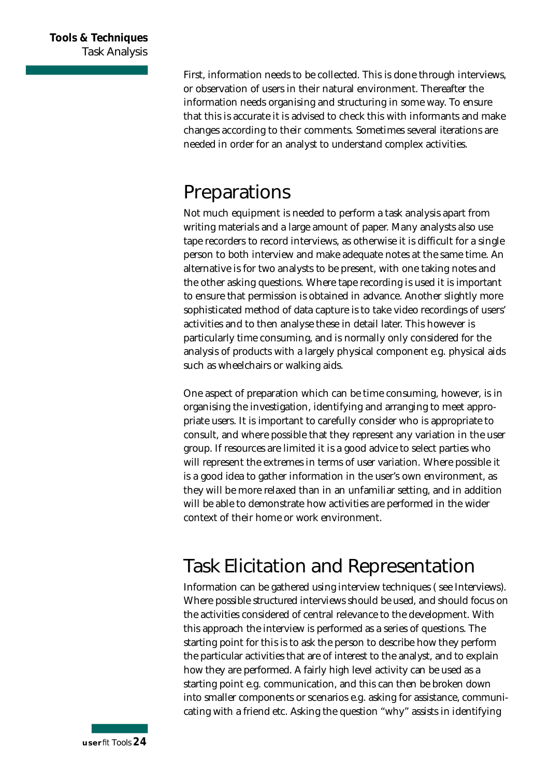First, information needs to be collected. This is done through interviews, or observation of users in their natural environment. Thereafter the information needs organising and structuring in some way. To ensure that this is accurate it is advised to check this with informants and make changes according to their comments. Sometimes several iterations are needed in order for an analyst to understand complex activities.

#### **Preparations**

Not much equipment is needed to perform a task analysis apart from writing materials and a large amount of paper. Many analysts also use tape recorders to record interviews, as otherwise it is difficult for a single person to both interview and make adequate notes at the same time. An alternative is for two analysts to be present, with one taking notes and the other asking questions. Where tape recording is used it is important to ensure that permission is obtained in advance. Another slightly more sophisticated method of data capture is to take video recordings of users' activities and to then analyse these in detail later. This however is particularly time consuming, and is normally only considered for the analysis of products with a largely physical component e.g. physical aids such as wheelchairs or walking aids.

One aspect of preparation which can be time consuming, however, is in organising the investigation, identifying and arranging to meet appropriate users. It is important to carefully consider who is appropriate to consult, and where possible that they represent any variation in the user group. If resources are limited it is a good advice to select parties who will represent the extremes in terms of user variation. Where possible it is a good idea to gather information in the user's own environment, as they will be more relaxed than in an unfamiliar setting, and in addition will be able to demonstrate how activities are performed in the wider context of their home or work environment.

## **Task Elicitation and Representation**

Information can be gathered using interview techniques (see Interviews). Where possible structured interviews should be used, and should focus on the activities considered of central relevance to the development. With this approach the interview is performed as a series of questions. The starting point for this is to ask the person to describe how they perform the particular activities that are of interest to the analyst, and to explain how they are performed. A fairly high level activity can be used as a starting point e.g. communication, and this can then be broken down into smaller components or scenarios e.g. asking for assistance, communicating with a friend etc. Asking the question "why" assists in identifying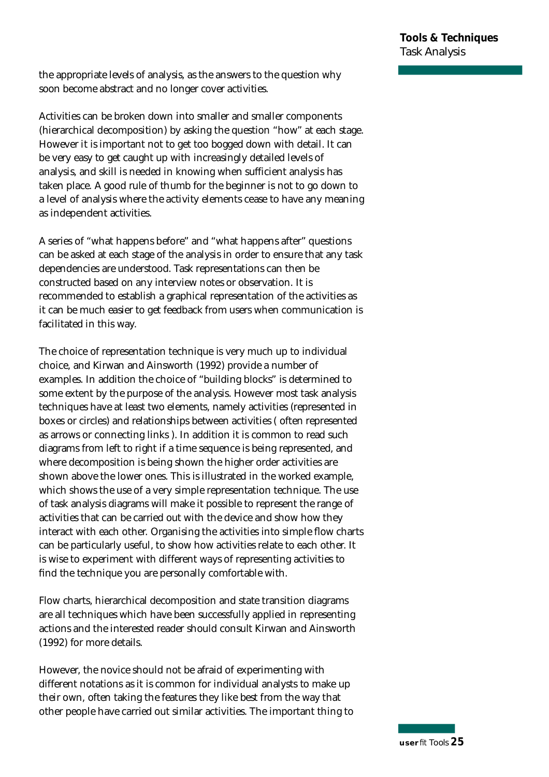the appropriate levels of analysis, as the answers to the question why soon become abstract and no longer cover activities.

Activities can be broken down into smaller and smaller components (hierarchical decomposition) by asking the question "how" at each stage. However it is important not to get too bogged down with detail. It can be very easy to get caught up with increasingly detailed levels of analysis, and skill is needed in knowing when sufficient analysis has taken place. A good rule of thumb for the beginner is not to go down to a level of analysis where the activity elements cease to have any meaning as independent activities.

A series of "what happens before" and "what happens after" questions can be asked at each stage of the analysis in order to ensure that any task dependencies are understood. Task representations can then be constructed based on any interview notes or observation. It is recommended to establish a graphical representation of the activities as it can be much easier to get feedback from users when communication is facilitated in this way.

The choice of representation technique is very much up to individual choice, and Kirwan and Ainsworth (1992) provide a number of examples. In addition the choice of "building blocks" is determined to some extent by the purpose of the analysis. However most task analysis techniques have at least two elements, namely activities (represented in boxes or circles) and relationships between activities (often represented as arrows or connecting links ). In addition it is common to read such diagrams from left to right if a time sequence is being represented, and where decomposition is being shown the higher order activities are shown above the lower ones. This is illustrated in the worked example, which shows the use of a very simple representation technique. The use of task analysis diagrams will make it possible to represent the range of activities that can be carried out with the device and show how they interact with each other. Organising the activities into simple flow charts can be particularly useful, to show how activities relate to each other. It is wise to experiment with different ways of representing activities to find the technique you are personally comfortable with.

Flow charts, hierarchical decomposition and state transition diagrams are all techniques which have been successfully applied in representing actions and the interested reader should consult Kirwan and Ainsworth (1992) for more details.

However, the novice should not be afraid of experimenting with different notations as it is common for individual analysts to make up their own, often taking the features they like best from the way that other people have carried out similar activities. The important thing to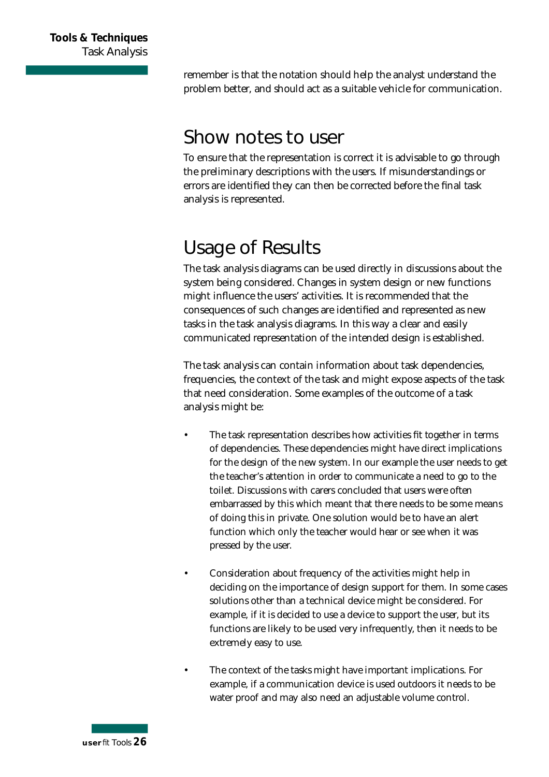remember is that the notation should help the analyst understand the p roblem better, and should act as a suitable vehicle for communication.

#### **Show notes to user**

To ensure that the representation is correct it is advisable to go through the preliminary descriptions with the users. If misunderstandings or errors are identified they can then be corrected before the final task analysis is represented.

## **Usage of Results**

The task analysis diagrams can be used directly in discussions about the system being considered. Changes in system design or new functions might influence the users' activities. It is recommended that the consequences of such changes are identified and represented as new tasks in the task analysis diagrams. In this way a clear and easily communicated representation of the intended design is established.

The task analysis can contain information about task dependencies, frequencies, the context of the task and might expose aspects of the task that need consideration. Some examples of the outcome of a task analysis might be:

- The task representation describes how activities fit together in terms of dependencies. These dependencies might have direct implications for the design of the new system. In our example the user needs to get the teacher's attention in order to communicate a need to go to the toilet. Discussions with carers concluded that users were often embarrassed by this which meant that there needs to be some means of doing this in private. One solution would be to have an alert function which only the teacher would hear or see when it was pressed by the user.
- Consideration about frequency of the activities might help in deciding on the importance of design support for them. In some cases solutions other than a technical device might be considered. For example, if it is decided to use a device to support the user, but its functions are likely to be used very infrequently, then it needs to be extremely easy to use.
- The context of the tasks might have important implications. For example, if a communication device is used outdoors it needs to be water proof and may also need an adjustable volume control.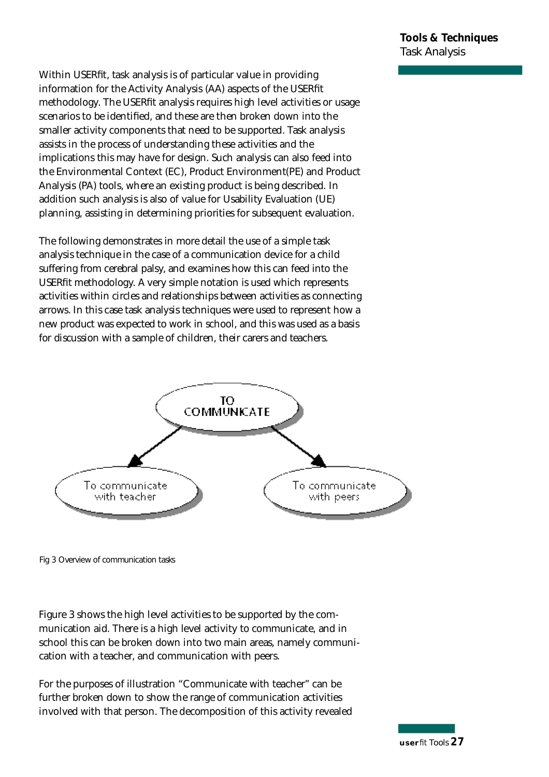Within USERfit, task analysis is of particular value in providing information for the Activity Analysis (AA) aspects of the USERfit methodology. The USERfit analysis requires high level activities or usage scenarios to be identified, and these are then broken down into the smaller activity components that need to be supported. Task analysis assists in the process of understanding these activities and the implications this may have for design. Such analysis can also feed into the Environmental Context (EC), Product Environment (PE) and Product Analysis (PA) tools, where an existing product is being described. In addition such analysis is also of value for Usability Evaluation (UE) planning, assisting in determining priorities for subsequent evaluation.

The following demonstrates in more detail the use of a simple task analysis technique in the case of a communication device for a child suffering from cerebral palsy, and examines how this can feed into the USER fit methodology. A very simple notation is used which represents activities within circles and relationships between activities as connecting arrows. In this case task analysis techniques were used to represent how a new product was expected to work in school, and this was used as a basis for discussion with a sample of children, their carers and teachers.



Fig 3 Overview of communication tasks

Figure 3 shows the high level activities to be supported by the communication aid. There is a high level activity to communicate, and in school this can be broken down into two main areas, namely communication with a teacher, and communication with peers.

For the purposes of illustration "Communicate with teacher" can be further broken down to show the range of communication activities involved with that person. The decomposition of this activity revealed

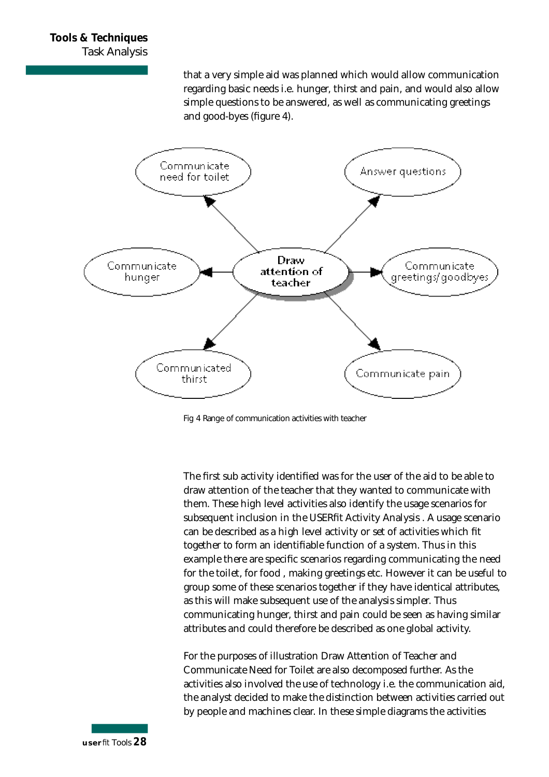that a very simple aid was planned which would allow communication regarding basic needs i.e. hunger, thirst and pain, and would also allow simple questions to be answered, as well as communicating greetings and good-byes (figure 4).



Fig 4 Range of communication activities with teacher

The first sub activity identified was for the user of the aid to be able to draw attention of the teacher that they wanted to communicate with them. These high level activities also identify the usage scenarios for subsequent inclusion in the USERfit Activity Analysis . A usage scenario can be described as a high level activity or set of activities which fit together to form an identifiable function of a system. Thus in this example there are specific scenarios regarding communicating the need for the toilet, for food , making greetings etc. However it can be useful to group some of these scenarios together if they have identical attributes, as this will make subsequent use of the analysis simpler. Thus communicating hunger, thirst and pain could be seen as having similar attributes and could therefore be described as one global activity.

For the purposes of illustration Draw Attention of Teacher and Communicate Need for Toilet are also decomposed further. As the activities also involved the use of technology i.e. the communication aid, the analyst decided to make the distinction between activities carried out by people and machines clear. In these simple diagrams the activities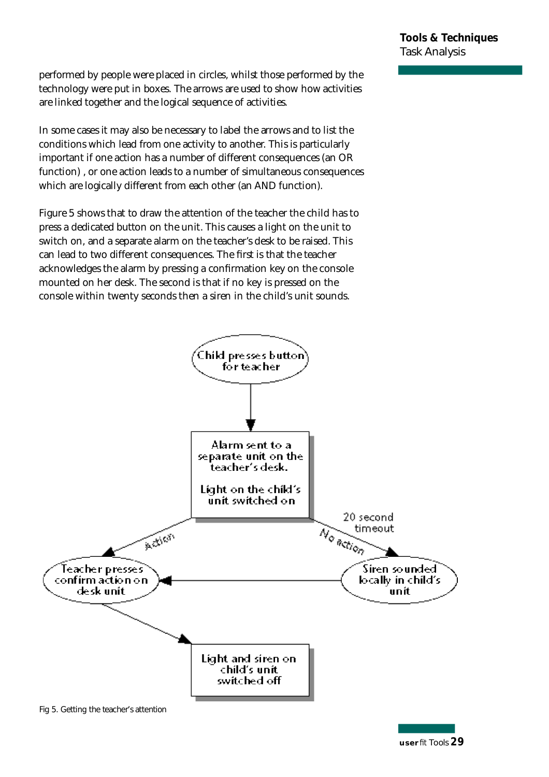performed by people were placed in circles, whilst those performed by the technology were put in boxes. The arrows are used to show how activities are linked together and the logical sequence of activities.

In some cases it may also be necessary to label the arrows and to list the conditions which lead from one activity to another. This is particularly important if one action has a number of different consequences (an OR function) , or one action leads to a number of simultaneous consequences which are logically different from each other (an AND function).

Figure 5 shows that to draw the attention of the teacher the child has to p ress a dedicated button on the unit. This causes a light on the unit to switch on, and a separate alarm on the teacher's desk to be raised. This can lead to two different consequences. The first is that the teacher acknowledges the alarm by pressing a confirmation key on the console mounted on her desk. The second is that if no key is pressed on the console within twenty seconds then a siren in the child's unit sounds.



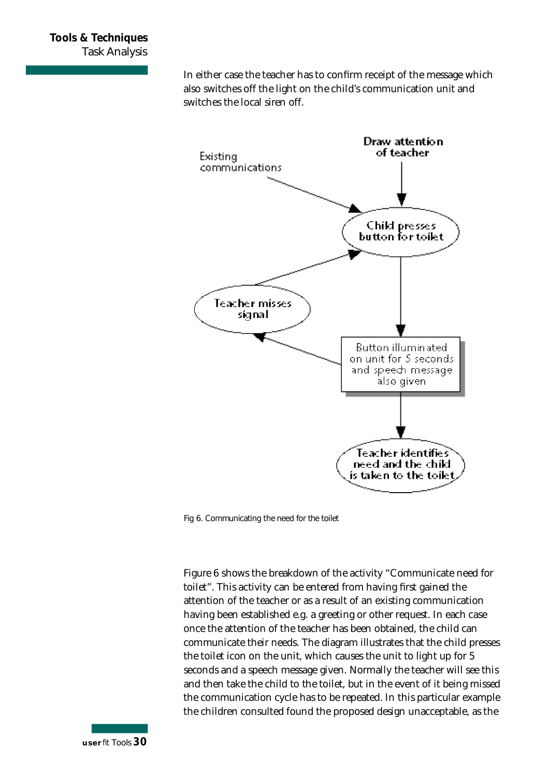In either case the teacher has to confirm receipt of the message which also switches off the light on the child's communication unit and switches the local siren off.



Fig 6. Communicating the need for the toilet

Figure 6 shows the breakdown of the activity "Communicate need for toilet". This activity can be entered from having first gained the attention of the teacher or as a result of an existing communication having been established e.g. a greeting or other request. In each case once the attention of the teacher has been obtained, the child can communicate their needs. The diagram illustrates that the child presses the toilet icon on the unit, which causes the unit to light up for 5 seconds and a speech message given. Normally the teacher will see this and then take the child to the toilet, but in the event of it being missed the communication cycle has to be repeated. In this particular example the children consulted found the proposed design unacceptable, as the

**u s e r***fit* Tools *3 0*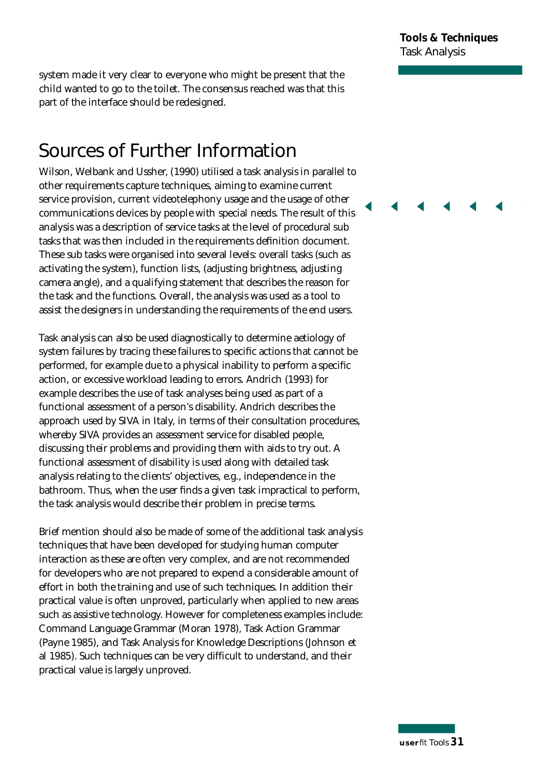system made it very clear to everyone who might be present that the child wanted to go to the toilet. The consensus reached was that this part of the interface should be redesigned.

#### **Sources of Further Information**

Wilson, Welbank and Ussher, (1990) utilised a task analysis in parallel to other requirements capture techniques, aiming to examine current service provision, current videotelephony usage and the usage of other communications devices by people with special needs. The result of this analysis was a description of service tasks at the level of procedural sub tasks that was then included in the requirements definition document. These sub tasks were organised into several levels: overall tasks (such as activating the system), function lists, (adjusting brightness, adjusting camera angle), and a qualifying statement that describes the reason for the task and the functions. Overall, the analysis was used as a tool to assist the designers in understanding the requirements of the end users.

Task analysis can also be used diagnostically to determine aetiology of system failures by tracing these failures to specific actions that cannot be performed, for example due to a physical inability to perform a specific action, or excessive workload leading to errors. Andrich (1993) for example describes the use of task analyses being used as part of a functional assessment of a person's disability. Andrich describes the approach used by SIVA in Italy, in terms of their consultation procedures, whereby SIVA provides an assessment service for disabled people, discussing their problems and providing them with aids to try out. A functional assessment of disability is used along with detailed task analysis relating to the clients' objectives, e.g., independence in the bathroom. Thus, when the user finds a given task impractical to perform, the task analysis would describe their problem in precise terms.

Brief mention should also be made of some of the additional task analysis techniques that have been developed for studying human computer interaction as these are often very complex, and are not recommended for developers who are not prepared to expend a considerable amount of effort in both the training and use of such techniques. In addition their practical value is often unproved, particularly when applied to new areas such as assistive technology. However for completeness examples include: Command Language Grammar (Moran 1978), Task Action Grammar (Payne 1985), and Task Analysis for Knowledge Descriptions (Johnson et al 1985). Such techniques can be very difficult to understand, and their practical value is largely unproved.